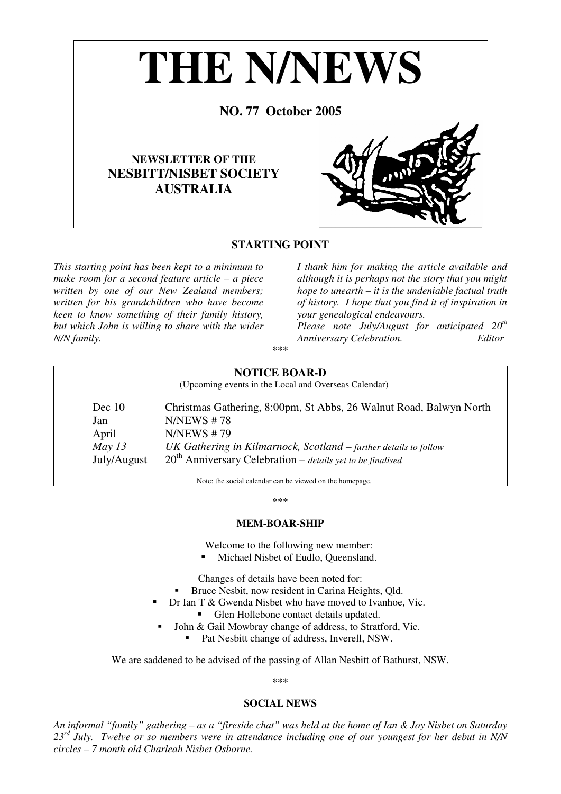

## **STARTING POINT**

*This starting point has been kept to a minimum to make room for a second feature article – a piece written by one of our New Zealand members; written for his grandchildren who have become keen to know something of their family history, but which John is willing to share with the wider N/N family.* 

*I thank him for making the article available and although it is perhaps not the story that you might hope to unearth – it is the undeniable factual truth of history. I hope that you find it of inspiration in your genealogical endeavours.*

*Please note July/August for anticipated 20th Anniversary Celebration. Editor*

**\*\*\*** 

## **NOTICE BOAR-D**

(Upcoming events in the Local and Overseas Calendar)

Dec 10 Christmas Gathering, 8:00pm, St Abbs, 26 Walnut Road, Balwyn North Jan N/NEWS # 78 April N/NEWS #79 *May 13 UK Gathering in Kilmarnock, Scotland – further details to follow* July/August 20<sup>th</sup> Anniversary Celebration – *details yet to be finalised* 

Note: the social calendar can be viewed on the homepage.

#### **\*\*\***

## **MEM-BOAR-SHIP**

Welcome to the following new member:

Michael Nisbet of Eudlo, Queensland.

Changes of details have been noted for:

- Bruce Nesbit, now resident in Carina Heights, Qld.
- Dr Ian T & Gwenda Nisbet who have moved to Ivanhoe, Vic.
	- Glen Hollebone contact details updated.
	- John & Gail Mowbray change of address, to Stratford, Vic.
		- Pat Nesbitt change of address, Inverell, NSW.

We are saddened to be advised of the passing of Allan Nesbitt of Bathurst, NSW.

**\*\*\*** 

## **SOCIAL NEWS**

*An informal "family" gathering – as a "fireside chat" was held at the home of Ian & Joy Nisbet on Saturday 23rd July. Twelve or so members were in attendance including one of our youngest for her debut in N/N circles – 7 month old Charleah Nisbet Osborne.*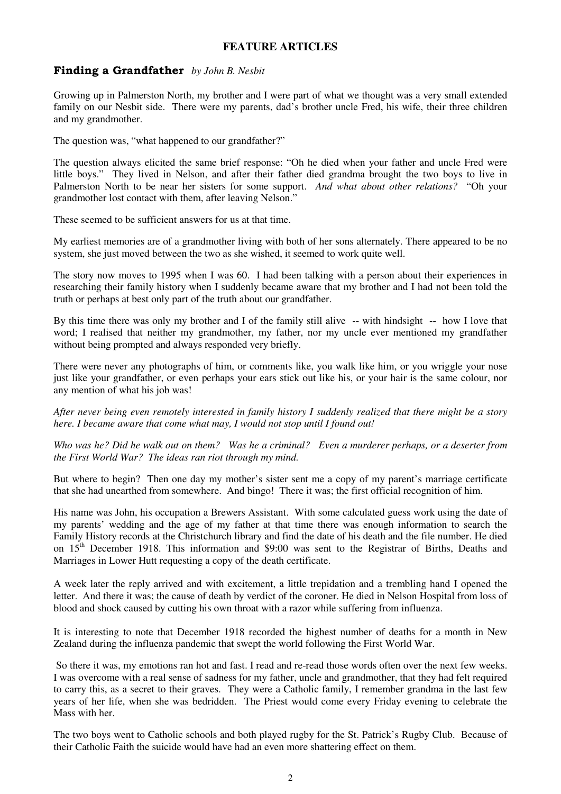# **FEATURE ARTICLES**

# Finding a Grandfather *by John B. Nesbit*

Growing up in Palmerston North, my brother and I were part of what we thought was a very small extended family on our Nesbit side. There were my parents, dad's brother uncle Fred, his wife, their three children and my grandmother.

The question was, "what happened to our grandfather?"

The question always elicited the same brief response: "Oh he died when your father and uncle Fred were little boys." They lived in Nelson, and after their father died grandma brought the two boys to live in Palmerston North to be near her sisters for some support. *And what about other relations?* "Oh your grandmother lost contact with them, after leaving Nelson."

These seemed to be sufficient answers for us at that time.

My earliest memories are of a grandmother living with both of her sons alternately. There appeared to be no system, she just moved between the two as she wished, it seemed to work quite well.

The story now moves to 1995 when I was 60. I had been talking with a person about their experiences in researching their family history when I suddenly became aware that my brother and I had not been told the truth or perhaps at best only part of the truth about our grandfather.

By this time there was only my brother and I of the family still alive -- with hindsight -- how I love that word; I realised that neither my grandmother, my father, nor my uncle ever mentioned my grandfather without being prompted and always responded very briefly.

There were never any photographs of him, or comments like, you walk like him, or you wriggle your nose just like your grandfather, or even perhaps your ears stick out like his, or your hair is the same colour, nor any mention of what his job was!

*After never being even remotely interested in family history I suddenly realized that there might be a story here. I became aware that come what may, I would not stop until I found out!* 

*Who was he? Did he walk out on them? Was he a criminal? Even a murderer perhaps, or a deserter from the First World War? The ideas ran riot through my mind.* 

But where to begin? Then one day my mother's sister sent me a copy of my parent's marriage certificate that she had unearthed from somewhere. And bingo! There it was; the first official recognition of him.

His name was John, his occupation a Brewers Assistant. With some calculated guess work using the date of my parents' wedding and the age of my father at that time there was enough information to search the Family History records at the Christchurch library and find the date of his death and the file number. He died on 15<sup>th</sup> December 1918. This information and \$9:00 was sent to the Registrar of Births, Deaths and Marriages in Lower Hutt requesting a copy of the death certificate.

A week later the reply arrived and with excitement, a little trepidation and a trembling hand I opened the letter. And there it was; the cause of death by verdict of the coroner. He died in Nelson Hospital from loss of blood and shock caused by cutting his own throat with a razor while suffering from influenza.

It is interesting to note that December 1918 recorded the highest number of deaths for a month in New Zealand during the influenza pandemic that swept the world following the First World War.

 So there it was, my emotions ran hot and fast. I read and re-read those words often over the next few weeks. I was overcome with a real sense of sadness for my father, uncle and grandmother, that they had felt required to carry this, as a secret to their graves. They were a Catholic family, I remember grandma in the last few years of her life, when she was bedridden. The Priest would come every Friday evening to celebrate the Mass with her.

The two boys went to Catholic schools and both played rugby for the St. Patrick's Rugby Club. Because of their Catholic Faith the suicide would have had an even more shattering effect on them.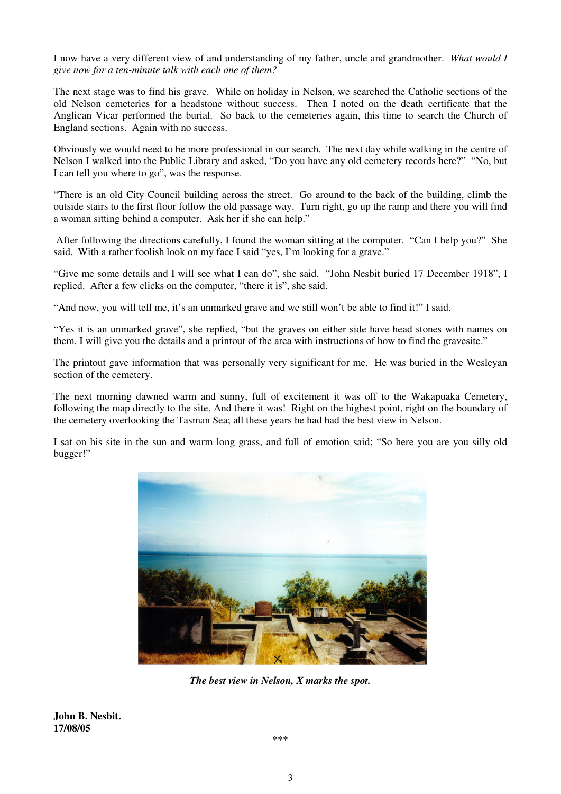I now have a very different view of and understanding of my father, uncle and grandmother. *What would I give now for a ten-minute talk with each one of them?* 

The next stage was to find his grave. While on holiday in Nelson, we searched the Catholic sections of the old Nelson cemeteries for a headstone without success. Then I noted on the death certificate that the Anglican Vicar performed the burial. So back to the cemeteries again, this time to search the Church of England sections. Again with no success.

Obviously we would need to be more professional in our search. The next day while walking in the centre of Nelson I walked into the Public Library and asked, "Do you have any old cemetery records here?" "No, but I can tell you where to go", was the response.

"There is an old City Council building across the street. Go around to the back of the building, climb the outside stairs to the first floor follow the old passage way. Turn right, go up the ramp and there you will find a woman sitting behind a computer. Ask her if she can help."

 After following the directions carefully, I found the woman sitting at the computer. "Can I help you?" She said. With a rather foolish look on my face I said "yes, I'm looking for a grave."

"Give me some details and I will see what I can do", she said. "John Nesbit buried 17 December 1918", I replied. After a few clicks on the computer, "there it is", she said.

"And now, you will tell me, it's an unmarked grave and we still won't be able to find it!" I said.

"Yes it is an unmarked grave", she replied, "but the graves on either side have head stones with names on them. I will give you the details and a printout of the area with instructions of how to find the gravesite."

The printout gave information that was personally very significant for me. He was buried in the Wesleyan section of the cemetery.

The next morning dawned warm and sunny, full of excitement it was off to the Wakapuaka Cemetery, following the map directly to the site. And there it was! Right on the highest point, right on the boundary of the cemetery overlooking the Tasman Sea; all these years he had had the best view in Nelson.

I sat on his site in the sun and warm long grass, and full of emotion said; "So here you are you silly old bugger!"



*The best view in Nelson, X marks the spot.* 

**John B. Nesbit. 17/08/05**

**\*\*\***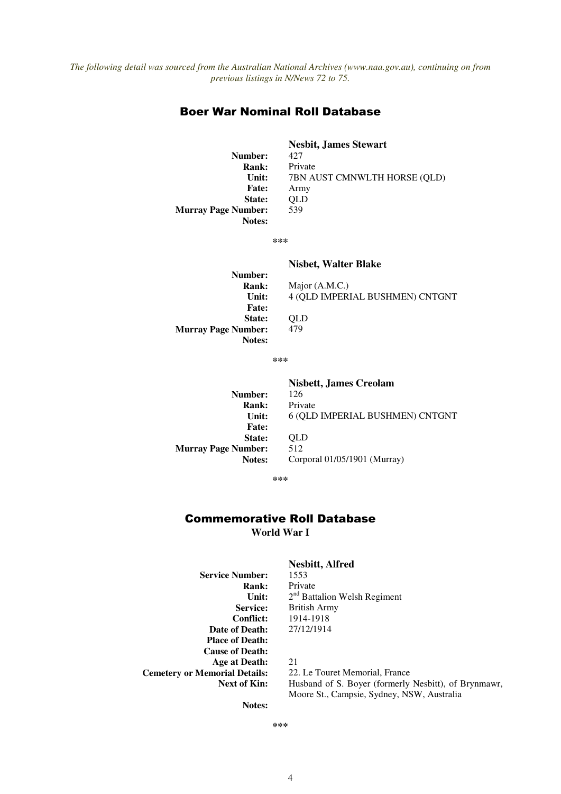## Boer War Nominal Roll Database

**Nesbit, James Stewart Number:** 427 **Rank:** Private **Unit:** 7BN AUST CMNWLTH HORSE (QLD) **Fate:** Army **State: QLD**<br> **mber:** 539 **Murray Page Number: Notes:** 

**\*\*\*** 

## **Nisbet, Walter Blake**

**Nisbett, James Creolam** 

**Number: Unit: Fate: State: QLD**<br> **mber:** 479 **Murray Page Number: Notes:** 

**Rank:** Major (A.M.C.) 4 (QLD IMPERIAL BUSHMEN) CNTGNT

**\*\*\*** 

**Number:** 126 **Rank:** Private **Unit: Fate: State:** QLD **Murray Page Number:** 512<br>**Notes:** Corp

6 (QLD IMPERIAL BUSHMEN) CNTGNT **Notes:** Corporal 01/05/1901 (Murray)

**\*\*\*** 

## Commemorative Roll Database **World War I**

**Service Number:** 1553<br>**Rank:** Private **Rank: Unit: Conflict:** 1914-1918 **Date of Death:** 27/12/1914 **Place of Death: Cause of Death: Age at Death:** 21 **Cemetery or Memorial Details:** 22. Le Touret Memorial, France

# **Nesbitt, Alfred**

2<sup>nd</sup> Battalion Welsh Regiment **Service:** British Army

Next of Kin: Husband of S. Boyer (formerly Nesbitt), of Brynmawr, Moore St., Campsie, Sydney, NSW, Australia

**Notes:** 

**\*\*\***

4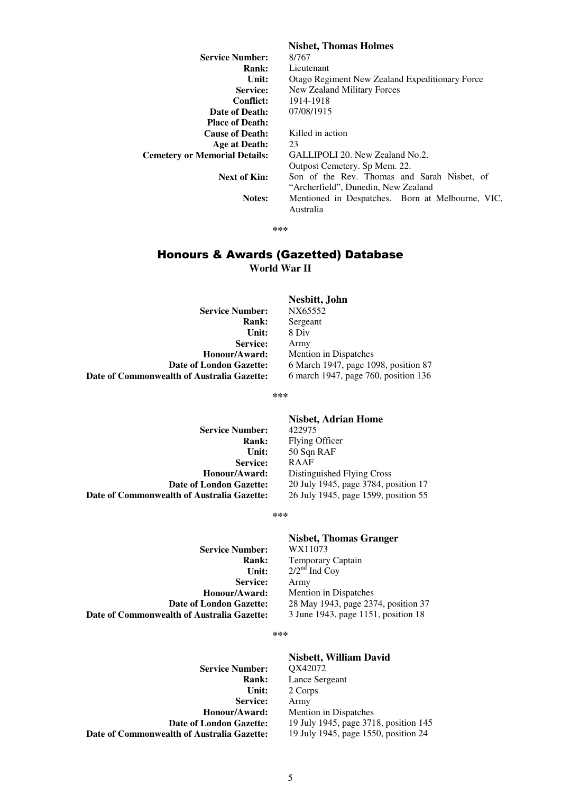|                                      | <b>Nisbet, Thomas Holmes</b>                     |
|--------------------------------------|--------------------------------------------------|
| <b>Service Number:</b>               | 8/767                                            |
| Rank:                                | Lieutenant                                       |
| Unit:                                | Otago Regiment New Zealand Expeditionary Force   |
| Service:                             | New Zealand Military Forces                      |
| <b>Conflict:</b>                     | 1914-1918                                        |
| Date of Death:                       | 07/08/1915                                       |
| <b>Place of Death:</b>               |                                                  |
| <b>Cause of Death:</b>               | Killed in action                                 |
| Age at Death:                        | 23                                               |
| <b>Cemetery or Memorial Details:</b> | GALLIPOLI 20. New Zealand No.2.                  |
|                                      | Outpost Cemetery. Sp Mem. 22.                    |
| Next of Kin:                         | Son of the Rev. Thomas and Sarah Nisbet, of      |
|                                      | "Archerfield", Dunedin, New Zealand              |
| Notes:                               | Mentioned in Despatches. Born at Melbourne, VIC, |
|                                      | Australia                                        |

#### **\*\*\***

# Honours & Awards (Gazetted) Database **World War II**

**Service Number: Rank:** Sergeant **Unit:** 8 Div **Service:** Army **Date of Commonwealth of Australia Gazette:** 

# **Nesbitt, John**

**Honour/Award:** Mention in Dispatches **Date of London Gazette:** 6 March 1947, page 1098, position 87<br>**alth of Australia Gazette:** 6 march 1947, page 760, position 136

**\*\*\***

**Service Number:**<br>**Rank: Service:** RAAF **Date of Commonwealth of Australia Gazette:** 26 July 1945, page 1599, position 55

# **Nisbet, Adrian Home**

**Rank:** Flying Officer **Unit:** 50 Sqn RAF **Honour/Award:** Distinguished Flying Cross **Date of London Gazette:** 20 July 1945, page 3784, position 17

**\*\*\***

**Service Number: Service:** Army **Honour/Award:** Mention in Dispatches<br>Date of London Gazette: 28 May 1943, page 23<sup>7</sup> **Date of Commonwealth of Australia Gazette:** 

# **Nisbet, Thomas Granger**

**Rank:** Temporary Captain **Unit:**  $2/2^{nd}$  Ind Coy 28 May 1943, page 2374, position 37<br>3 June 1943, page 1151, position 18

#### **\*\*\***

**Service Number: Service:** Army **Date of Commonwealth of Australia Gazette:** 

**Nisbett, William David Rank:** Lance Sergeant **Unit:** 2 Corps **Honour/Award:** Mention in Dispatches **Date of London Gazette:** 19 July 1945, page 3718, position 145<br>**alth of Australia Gazette:** 19 July 1945, page 1550, position 24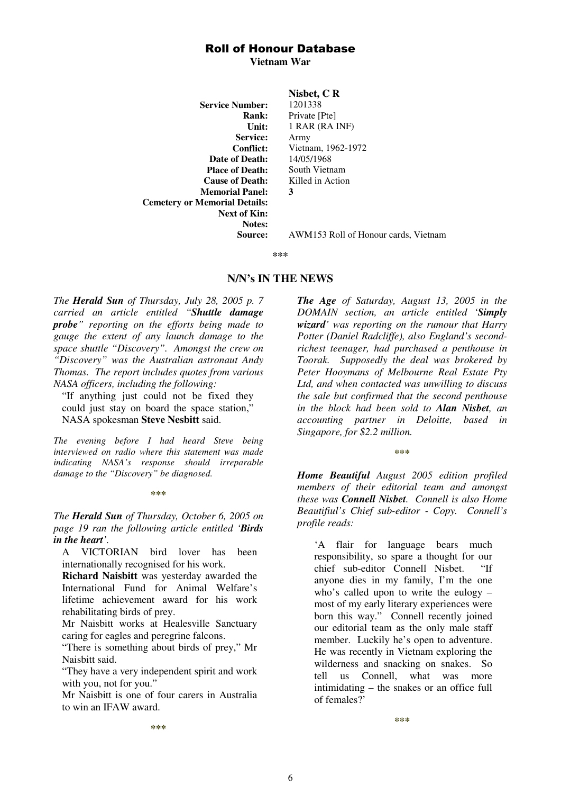## Roll of Honour Database

**Vietnam War** 

**Service Number:** 1201338 **Service:** Army **Date of Death: Place of Death:** South Vietnam **Cause of Death:** Killed in Action **Memorial Panel: 3 Cemetery or Memorial Details: Next of Kin: Notes:** 

## **Nisbet, C R**

**Rank:** Private [Pte] **Unit:** 1 RAR (RA INF) **Conflict:** Vietnam, 1962-1972<br> **of Death:** 14/05/1968

**Source:** AWM153 Roll of Honour cards, Vietnam

**\*\*\***

## **N/N's IN THE NEWS**

*The Herald Sun of Thursday, July 28, 2005 p. 7 carried an article entitled "Shuttle damage probe" reporting on the efforts being made to gauge the extent of any launch damage to the space shuttle "Discovery". Amongst the crew on "Discovery" was the Australian astronaut Andy Thomas. The report includes quotes from various NASA officers, including the following:* 

"If anything just could not be fixed they could just stay on board the space station," NASA spokesman **Steve Nesbitt** said.

*The evening before I had heard Steve being interviewed on radio where this statement was made indicating NASA's response should irreparable damage to the "Discovery" be diagnosed.* 

#### **\*\*\***

*The Herald Sun of Thursday, October 6, 2005 on page 19 ran the following article entitled 'Birds in the heart'.* 

A VICTORIAN bird lover has been internationally recognised for his work.

**Richard Naisbitt** was yesterday awarded the International Fund for Animal Welfare's lifetime achievement award for his work rehabilitating birds of prey.

Mr Naisbitt works at Healesville Sanctuary caring for eagles and peregrine falcons.

"There is something about birds of prey," Mr Naisbitt said.

"They have a very independent spirit and work with you, not for you."

Mr Naisbitt is one of four carers in Australia to win an IFAW award.

*The Age of Saturday, August 13, 2005 in the DOMAIN section, an article entitled 'Simply wizard' was reporting on the rumour that Harry Potter (Daniel Radcliffe), also England's secondrichest teenager, had purchased a penthouse in Toorak. Supposedly the deal was brokered by Peter Hooymans of Melbourne Real Estate Pty Ltd, and when contacted was unwilling to discuss the sale but confirmed that the second penthouse in the block had been sold to Alan Nisbet, an accounting partner in Deloitte, based in Singapore, for \$2.2 million.* 

**\*\*\*** 

*Home Beautiful August 2005 edition profiled members of their editorial team and amongst these was Connell Nisbet. Connell is also Home Beautifiul's Chief sub-editor - Copy. Connell's profile reads:* 

'A flair for language bears much responsibility, so spare a thought for our chief sub-editor Connell Nisbet. "If anyone dies in my family, I'm the one who's called upon to write the eulogy – most of my early literary experiences were born this way." Connell recently joined our editorial team as the only male staff member. Luckily he's open to adventure. He was recently in Vietnam exploring the wilderness and snacking on snakes. So tell us Connell, what was more intimidating – the snakes or an office full of females?'

**\*\*\*** 

**\*\*\***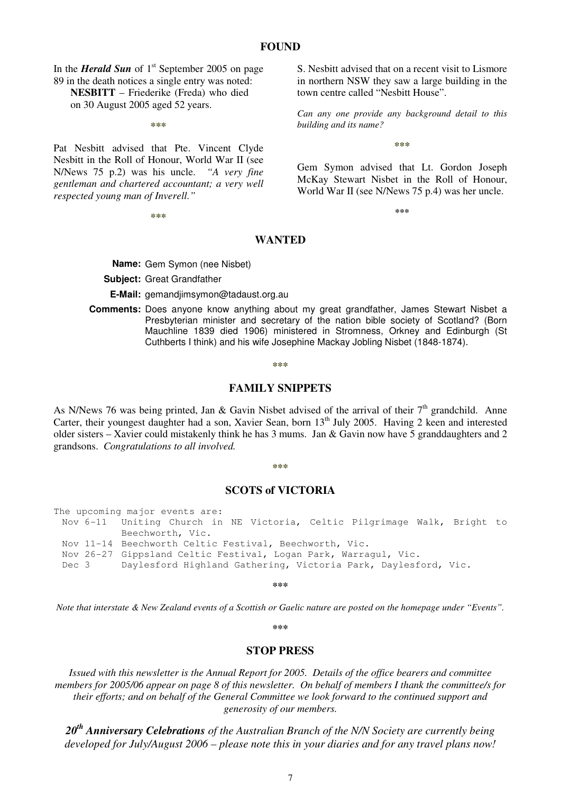## **FOUND**

In the *Herald Sun* of 1<sup>st</sup> September 2005 on page 89 in the death notices a single entry was noted: **NESBITT** – Friederike (Freda) who died on 30 August 2005 aged 52 years.

**\*\*\*** 

Pat Nesbitt advised that Pte. Vincent Clyde Nesbitt in the Roll of Honour, World War II (see N/News 75 p.2) was his uncle. *"A very fine gentleman and chartered accountant; a very well respected young man of Inverell."* 

**\*\*\*** 

S. Nesbitt advised that on a recent visit to Lismore in northern NSW they saw a large building in the town centre called "Nesbitt House".

*Can any one provide any background detail to this building and its name?* 

**\*\*\*** 

Gem Symon advised that Lt. Gordon Joseph McKay Stewart Nisbet in the Roll of Honour, World War II (see N/News 75 p.4) was her uncle.

**\*\*\***

## **WANTED**

**Name:** Gem Symon (nee Nisbet)

**Subject:** Great Grandfather

**E-Mail:** gemandjimsymon@tadaust.org.au

**Comments:** Does anyone know anything about my great grandfather, James Stewart Nisbet a Presbyterian minister and secretary of the nation bible society of Scotland? (Born Mauchline 1839 died 1906) ministered in Stromness, Orkney and Edinburgh (St Cuthberts I think) and his wife Josephine Mackay Jobling Nisbet (1848-1874).

#### **\*\*\***

## **FAMILY SNIPPETS**

As N/News 76 was being printed, Jan & Gavin Nisbet advised of the arrival of their  $7<sup>th</sup>$  grandchild. Anne Carter, their youngest daughter had a son, Xavier Sean, born 13<sup>th</sup> July 2005. Having 2 keen and interested older sisters – Xavier could mistakenly think he has 3 mums. Jan & Gavin now have 5 granddaughters and 2 grandsons. *Congratulations to all involved.* 

#### **\*\*\***

## **SCOTS of VICTORIA**

The upcoming major events are:

Nov 6-11 Uniting Church in NE Victoria, Celtic Pilgrimage Walk, Bright to Beechworth, Vic. Nov 11-14 Beechworth Celtic Festival, Beechworth, Vic.

Nov 26-27 Gippsland Celtic Festival, Logan Park, Warragul, Vic.

Dec 3 Daylesford Highland Gathering, Victoria Park, Daylesford, Vic.

**\*\*\*** 

*Note that interstate & New Zealand events of a Scottish or Gaelic nature are posted on the homepage under "Events".* 

**\*\*\*** 

#### **STOP PRESS**

*Issued with this newsletter is the Annual Report for 2005. Details of the office bearers and committee members for 2005/06 appear on page 8 of this newsletter. On behalf of members I thank the committee/s for their efforts; and on behalf of the General Committee we look forward to the continued support and generosity of our members.* 

*20th Anniversary Celebrations of the Australian Branch of the N/N Society are currently being developed for July/August 2006 – please note this in your diaries and for any travel plans now!*